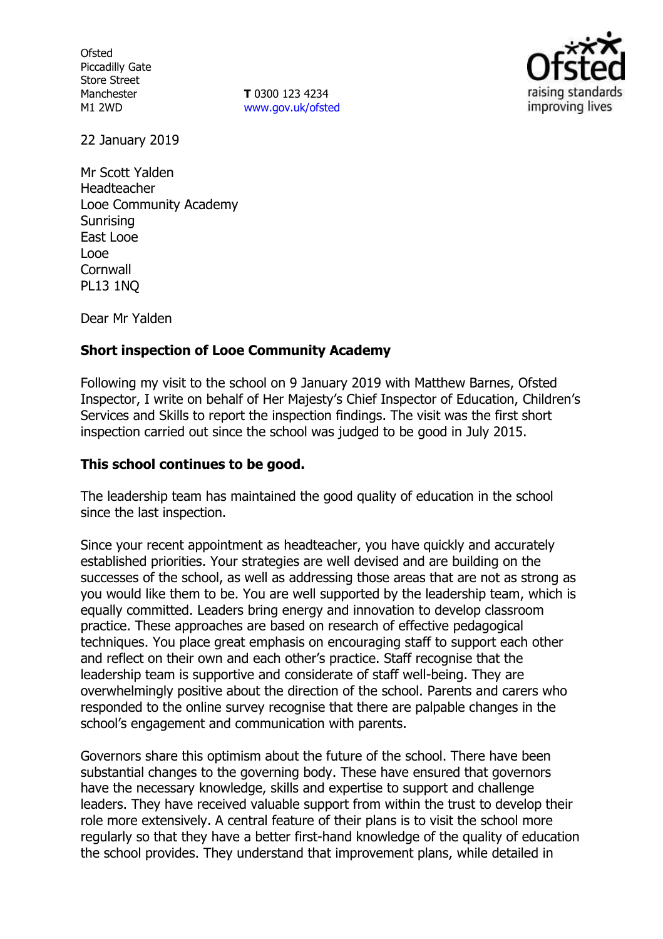**Ofsted** Piccadilly Gate Store Street Manchester M1 2WD

**T** 0300 123 4234 www.gov.uk/ofsted



22 January 2019

Mr Scott Yalden Headteacher Looe Community Academy **Sunrising** East Looe Looe **Cornwall** PL13 1NQ

Dear Mr Yalden

## **Short inspection of Looe Community Academy**

Following my visit to the school on 9 January 2019 with Matthew Barnes, Ofsted Inspector, I write on behalf of Her Majesty's Chief Inspector of Education, Children's Services and Skills to report the inspection findings. The visit was the first short inspection carried out since the school was judged to be good in July 2015.

### **This school continues to be good.**

The leadership team has maintained the good quality of education in the school since the last inspection.

Since your recent appointment as headteacher, you have quickly and accurately established priorities. Your strategies are well devised and are building on the successes of the school, as well as addressing those areas that are not as strong as you would like them to be. You are well supported by the leadership team, which is equally committed. Leaders bring energy and innovation to develop classroom practice. These approaches are based on research of effective pedagogical techniques. You place great emphasis on encouraging staff to support each other and reflect on their own and each other's practice. Staff recognise that the leadership team is supportive and considerate of staff well-being. They are overwhelmingly positive about the direction of the school. Parents and carers who responded to the online survey recognise that there are palpable changes in the school's engagement and communication with parents.

Governors share this optimism about the future of the school. There have been substantial changes to the governing body. These have ensured that governors have the necessary knowledge, skills and expertise to support and challenge leaders. They have received valuable support from within the trust to develop their role more extensively. A central feature of their plans is to visit the school more regularly so that they have a better first-hand knowledge of the quality of education the school provides. They understand that improvement plans, while detailed in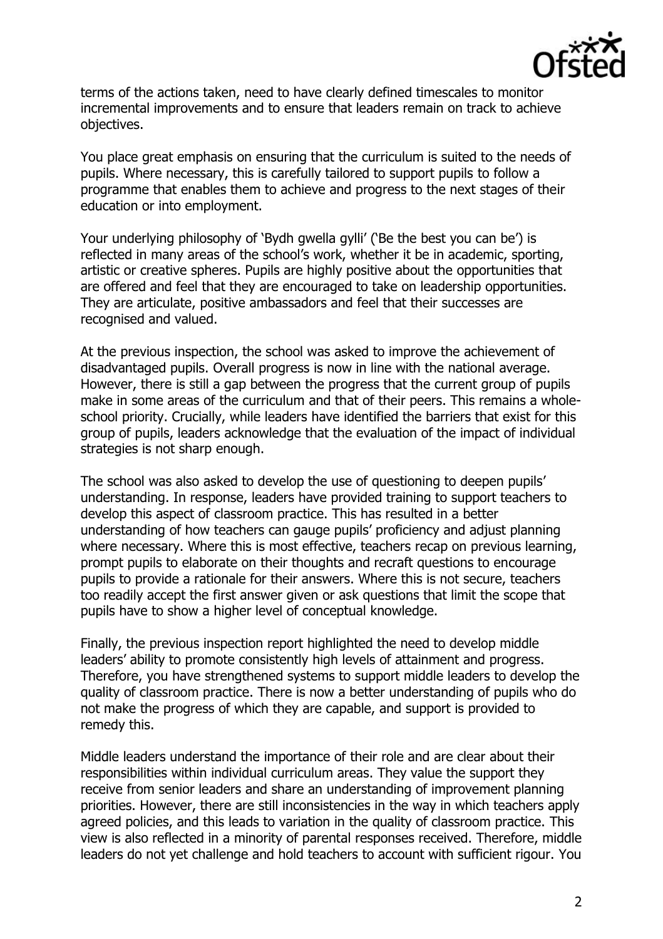

terms of the actions taken, need to have clearly defined timescales to monitor incremental improvements and to ensure that leaders remain on track to achieve objectives.

You place great emphasis on ensuring that the curriculum is suited to the needs of pupils. Where necessary, this is carefully tailored to support pupils to follow a programme that enables them to achieve and progress to the next stages of their education or into employment.

Your underlying philosophy of 'Bydh gwella gylli' ('Be the best you can be') is reflected in many areas of the school's work, whether it be in academic, sporting, artistic or creative spheres. Pupils are highly positive about the opportunities that are offered and feel that they are encouraged to take on leadership opportunities. They are articulate, positive ambassadors and feel that their successes are recognised and valued.

At the previous inspection, the school was asked to improve the achievement of disadvantaged pupils. Overall progress is now in line with the national average. However, there is still a gap between the progress that the current group of pupils make in some areas of the curriculum and that of their peers. This remains a wholeschool priority. Crucially, while leaders have identified the barriers that exist for this group of pupils, leaders acknowledge that the evaluation of the impact of individual strategies is not sharp enough.

The school was also asked to develop the use of questioning to deepen pupils' understanding. In response, leaders have provided training to support teachers to develop this aspect of classroom practice. This has resulted in a better understanding of how teachers can gauge pupils' proficiency and adjust planning where necessary. Where this is most effective, teachers recap on previous learning, prompt pupils to elaborate on their thoughts and recraft questions to encourage pupils to provide a rationale for their answers. Where this is not secure, teachers too readily accept the first answer given or ask questions that limit the scope that pupils have to show a higher level of conceptual knowledge.

Finally, the previous inspection report highlighted the need to develop middle leaders' ability to promote consistently high levels of attainment and progress. Therefore, you have strengthened systems to support middle leaders to develop the quality of classroom practice. There is now a better understanding of pupils who do not make the progress of which they are capable, and support is provided to remedy this.

Middle leaders understand the importance of their role and are clear about their responsibilities within individual curriculum areas. They value the support they receive from senior leaders and share an understanding of improvement planning priorities. However, there are still inconsistencies in the way in which teachers apply agreed policies, and this leads to variation in the quality of classroom practice. This view is also reflected in a minority of parental responses received. Therefore, middle leaders do not yet challenge and hold teachers to account with sufficient rigour. You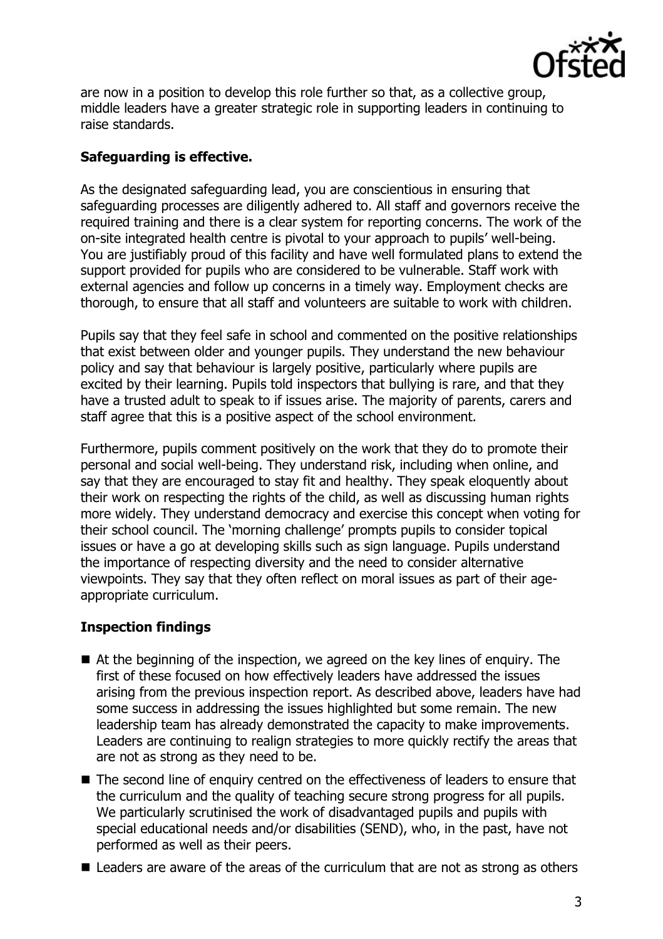

are now in a position to develop this role further so that, as a collective group, middle leaders have a greater strategic role in supporting leaders in continuing to raise standards.

# **Safeguarding is effective.**

As the designated safeguarding lead, you are conscientious in ensuring that safeguarding processes are diligently adhered to. All staff and governors receive the required training and there is a clear system for reporting concerns. The work of the on-site integrated health centre is pivotal to your approach to pupils' well-being. You are justifiably proud of this facility and have well formulated plans to extend the support provided for pupils who are considered to be vulnerable. Staff work with external agencies and follow up concerns in a timely way. Employment checks are thorough, to ensure that all staff and volunteers are suitable to work with children.

Pupils say that they feel safe in school and commented on the positive relationships that exist between older and younger pupils. They understand the new behaviour policy and say that behaviour is largely positive, particularly where pupils are excited by their learning. Pupils told inspectors that bullying is rare, and that they have a trusted adult to speak to if issues arise. The majority of parents, carers and staff agree that this is a positive aspect of the school environment.

Furthermore, pupils comment positively on the work that they do to promote their personal and social well-being. They understand risk, including when online, and say that they are encouraged to stay fit and healthy. They speak eloquently about their work on respecting the rights of the child, as well as discussing human rights more widely. They understand democracy and exercise this concept when voting for their school council. The 'morning challenge' prompts pupils to consider topical issues or have a go at developing skills such as sign language. Pupils understand the importance of respecting diversity and the need to consider alternative viewpoints. They say that they often reflect on moral issues as part of their ageappropriate curriculum.

## **Inspection findings**

- At the beginning of the inspection, we agreed on the key lines of enguiry. The first of these focused on how effectively leaders have addressed the issues arising from the previous inspection report. As described above, leaders have had some success in addressing the issues highlighted but some remain. The new leadership team has already demonstrated the capacity to make improvements. Leaders are continuing to realign strategies to more quickly rectify the areas that are not as strong as they need to be.
- The second line of enquiry centred on the effectiveness of leaders to ensure that the curriculum and the quality of teaching secure strong progress for all pupils. We particularly scrutinised the work of disadvantaged pupils and pupils with special educational needs and/or disabilities (SEND), who, in the past, have not performed as well as their peers.
- Leaders are aware of the areas of the curriculum that are not as strong as others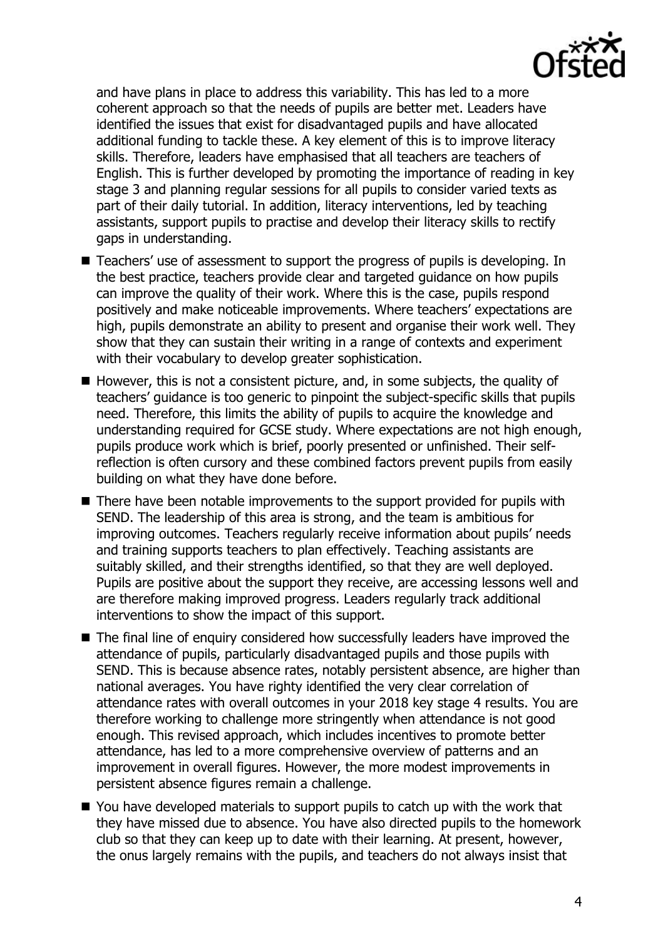

and have plans in place to address this variability. This has led to a more coherent approach so that the needs of pupils are better met. Leaders have identified the issues that exist for disadvantaged pupils and have allocated additional funding to tackle these. A key element of this is to improve literacy skills. Therefore, leaders have emphasised that all teachers are teachers of English. This is further developed by promoting the importance of reading in key stage 3 and planning regular sessions for all pupils to consider varied texts as part of their daily tutorial. In addition, literacy interventions, led by teaching assistants, support pupils to practise and develop their literacy skills to rectify gaps in understanding.

- Teachers' use of assessment to support the progress of pupils is developing. In the best practice, teachers provide clear and targeted guidance on how pupils can improve the quality of their work. Where this is the case, pupils respond positively and make noticeable improvements. Where teachers' expectations are high, pupils demonstrate an ability to present and organise their work well. They show that they can sustain their writing in a range of contexts and experiment with their vocabulary to develop greater sophistication.
- $\blacksquare$  However, this is not a consistent picture, and, in some subjects, the quality of teachers' guidance is too generic to pinpoint the subject-specific skills that pupils need. Therefore, this limits the ability of pupils to acquire the knowledge and understanding required for GCSE study. Where expectations are not high enough, pupils produce work which is brief, poorly presented or unfinished. Their selfreflection is often cursory and these combined factors prevent pupils from easily building on what they have done before.
- There have been notable improvements to the support provided for pupils with SEND. The leadership of this area is strong, and the team is ambitious for improving outcomes. Teachers regularly receive information about pupils' needs and training supports teachers to plan effectively. Teaching assistants are suitably skilled, and their strengths identified, so that they are well deployed. Pupils are positive about the support they receive, are accessing lessons well and are therefore making improved progress. Leaders regularly track additional interventions to show the impact of this support.
- The final line of enquiry considered how successfully leaders have improved the attendance of pupils, particularly disadvantaged pupils and those pupils with SEND. This is because absence rates, notably persistent absence, are higher than national averages. You have righty identified the very clear correlation of attendance rates with overall outcomes in your 2018 key stage 4 results. You are therefore working to challenge more stringently when attendance is not good enough. This revised approach, which includes incentives to promote better attendance, has led to a more comprehensive overview of patterns and an improvement in overall figures. However, the more modest improvements in persistent absence figures remain a challenge.
- You have developed materials to support pupils to catch up with the work that they have missed due to absence. You have also directed pupils to the homework club so that they can keep up to date with their learning. At present, however, the onus largely remains with the pupils, and teachers do not always insist that